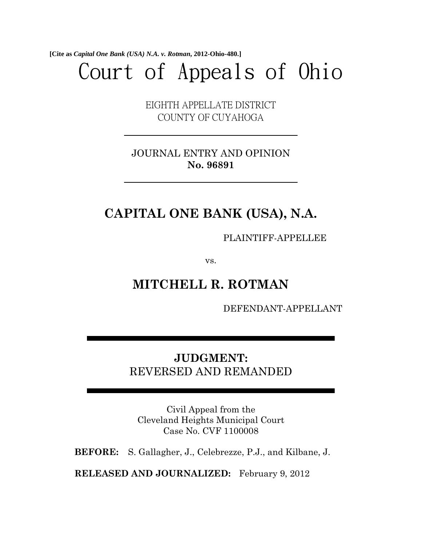**[Cite as** *Capital One Bank (USA) N.A. v. Rotman***, 2012-Ohio-480.]**

# Court of Appeals of Ohio

EIGHTH APPELLATE DISTRICT COUNTY OF CUYAHOGA

JOURNAL ENTRY AND OPINION **No. 96891**

# **CAPITAL ONE BANK (USA), N.A.**

PLAINTIFF-APPELLEE

vs.

## **MITCHELL R. ROTMAN**

DEFENDANT-APPELLANT

## **JUDGMENT:**  REVERSED AND REMANDED

Civil Appeal from the Cleveland Heights Municipal Court Case No. CVF 1100008

**BEFORE:** S. Gallagher, J., Celebrezze, P.J., and Kilbane, J.

**RELEASED AND JOURNALIZED:** February 9, 2012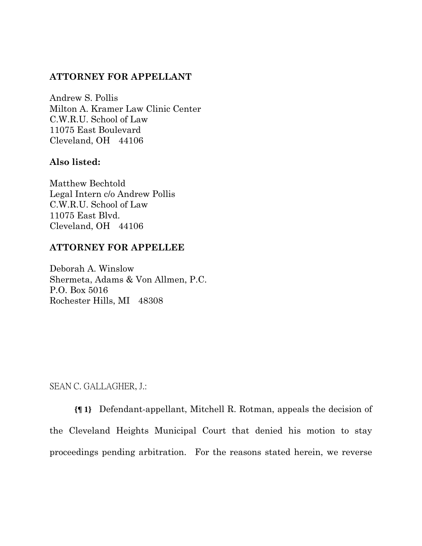## **ATTORNEY FOR APPELLANT**

Andrew S. Pollis Milton A. Kramer Law Clinic Center C.W.R.U. School of Law 11075 East Boulevard Cleveland, OH 44106

### **Also listed:**

Matthew Bechtold Legal Intern c/o Andrew Pollis C.W.R.U. School of Law 11075 East Blvd. Cleveland, OH 44106

#### **ATTORNEY FOR APPELLEE**

Deborah A. Winslow Shermeta, Adams & Von Allmen, P.C. P.O. Box 5016 Rochester Hills, MI 48308

SEAN C. GALLAGHER, J.:

**{¶ 1}** Defendant-appellant, Mitchell R. Rotman, appeals the decision of the Cleveland Heights Municipal Court that denied his motion to stay proceedings pending arbitration. For the reasons stated herein, we reverse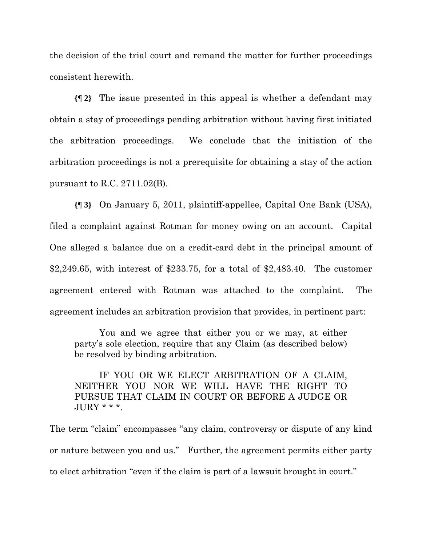the decision of the trial court and remand the matter for further proceedings consistent herewith.

**{¶ 2}** The issue presented in this appeal is whether a defendant may obtain a stay of proceedings pending arbitration without having first initiated the arbitration proceedings. We conclude that the initiation of the arbitration proceedings is not a prerequisite for obtaining a stay of the action pursuant to R.C. 2711.02(B).

**{¶ 3}** On January 5, 2011, plaintiff-appellee, Capital One Bank (USA), filed a complaint against Rotman for money owing on an account. Capital One alleged a balance due on a credit-card debt in the principal amount of \$2,249.65, with interest of \$233.75, for a total of \$2,483.40. The customer agreement entered with Rotman was attached to the complaint. The agreement includes an arbitration provision that provides, in pertinent part:

You and we agree that either you or we may, at either party's sole election, require that any Claim (as described below) be resolved by binding arbitration.

IF YOU OR WE ELECT ARBITRATION OF A CLAIM, NEITHER YOU NOR WE WILL HAVE THE RIGHT TO PURSUE THAT CLAIM IN COURT OR BEFORE A JUDGE OR JURY \* \* \*.

The term "claim" encompasses "any claim, controversy or dispute of any kind or nature between you and us." Further, the agreement permits either party to elect arbitration "even if the claim is part of a lawsuit brought in court."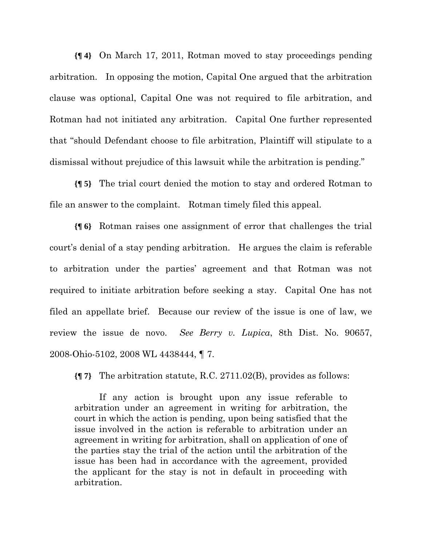**{¶ 4}** On March 17, 2011, Rotman moved to stay proceedings pending arbitration. In opposing the motion, Capital One argued that the arbitration clause was optional, Capital One was not required to file arbitration, and Rotman had not initiated any arbitration. Capital One further represented that "should Defendant choose to file arbitration, Plaintiff will stipulate to a dismissal without prejudice of this lawsuit while the arbitration is pending."

**{¶ 5}** The trial court denied the motion to stay and ordered Rotman to file an answer to the complaint. Rotman timely filed this appeal.

**{¶ 6}** Rotman raises one assignment of error that challenges the trial court's denial of a stay pending arbitration. He argues the claim is referable to arbitration under the parties' agreement and that Rotman was not required to initiate arbitration before seeking a stay. Capital One has not filed an appellate brief. Because our review of the issue is one of law, we review the issue de novo. *See Berry v. Lupica*, 8th Dist. No. 90657, 2008-Ohio-5102, 2008 WL 4438444, ¶ 7.

**{¶ 7}** The arbitration statute, R.C. 2711.02(B), provides as follows:

If any action is brought upon any issue referable to arbitration under an agreement in writing for arbitration, the court in which the action is pending, upon being satisfied that the issue involved in the action is referable to arbitration under an agreement in writing for arbitration, shall on application of one of the parties stay the trial of the action until the arbitration of the issue has been had in accordance with the agreement, provided the applicant for the stay is not in default in proceeding with arbitration.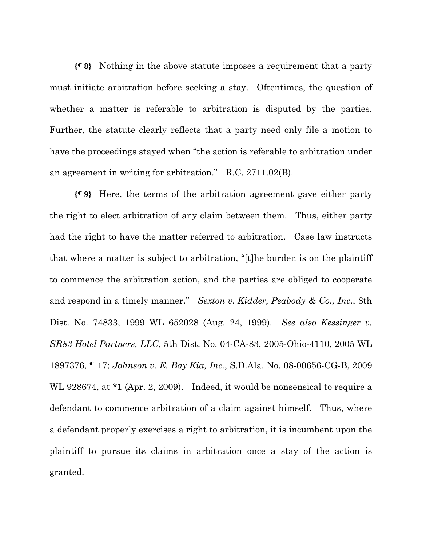**{¶ 8}** Nothing in the above statute imposes a requirement that a party must initiate arbitration before seeking a stay. Oftentimes, the question of whether a matter is referable to arbitration is disputed by the parties. Further, the statute clearly reflects that a party need only file a motion to have the proceedings stayed when "the action is referable to arbitration under an agreement in writing for arbitration." R.C. 2711.02(B).

**{¶ 9}** Here, the terms of the arbitration agreement gave either party the right to elect arbitration of any claim between them. Thus, either party had the right to have the matter referred to arbitration. Case law instructs that where a matter is subject to arbitration, "[t]he burden is on the plaintiff to commence the arbitration action, and the parties are obliged to cooperate and respond in a timely manner." *Sexton v. Kidder, Peabody & Co., Inc*., 8th Dist. No. 74833, 1999 WL 652028 (Aug. 24, 1999). *See also Kessinger v. SR83 Hotel Partners, LLC*, 5th Dist. No. 04-CA-83, 2005-Ohio-4110, 2005 WL 1897376, ¶ 17; *Johnson v. E. Bay Kia, Inc.*, S.D.Ala. No. 08-00656-CG-B, 2009 WL 928674, at \*1 (Apr. 2, 2009). Indeed, it would be nonsensical to require a defendant to commence arbitration of a claim against himself. Thus, where a defendant properly exercises a right to arbitration, it is incumbent upon the plaintiff to pursue its claims in arbitration once a stay of the action is granted.